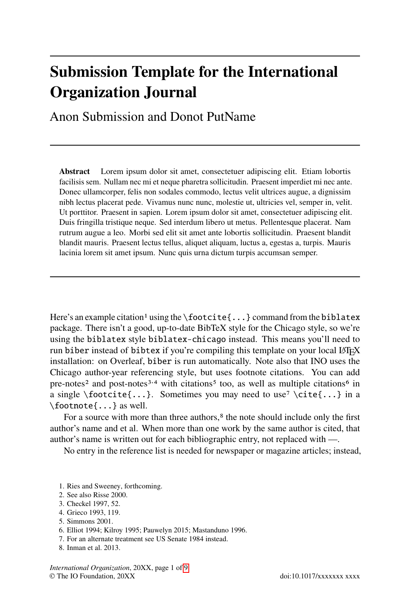# **Submission Template for the International Organization Journal**

Anon Submission and Donot PutName

**Abstract** Lorem ipsum dolor sit amet, consectetuer adipiscing elit. Etiam lobortis facilisis sem. Nullam nec mi et neque pharetra sollicitudin. Praesent imperdiet mi nec ante. Donec ullamcorper, felis non sodales commodo, lectus velit ultrices augue, a dignissim nibh lectus placerat pede. Vivamus nunc nunc, molestie ut, ultricies vel, semper in, velit. Ut porttitor. Praesent in sapien. Lorem ipsum dolor sit amet, consectetuer adipiscing elit. Duis fringilla tristique neque. Sed interdum libero ut metus. Pellentesque placerat. Nam rutrum augue a leo. Morbi sed elit sit amet ante lobortis sollicitudin. Praesent blandit blandit mauris. Praesent lectus tellus, aliquet aliquam, luctus a, egestas a, turpis. Mauris lacinia lorem sit amet ipsum. Nunc quis urna dictum turpis accumsan semper.

Here's an example citation<sup>1</sup> using the  $\footnotesize{\text{footcite}}$ ...} command from the biblatex package. There isn't a good, up-to-date BibTeX style for the Chicago style, so we're using the biblatex style biblatex-chicago instead. This means you'll need to run biber instead of bibtex if you're compiling this template on your local LATEX installation: on Overleaf, biber is run automatically. Note also that INO uses the Chicago author-year referencing style, but uses footnote citations. You can add pre-notes<sup>2</sup> and post-notes<sup>3,4</sup> with citations<sup>5</sup> too, as well as multiple citations<sup>6</sup> in a single \footcite{...}. Sometimes you may need to use<sup>7</sup> \cite{...} in a \footnote{...} as well.

For a source with more than three authors,<sup>8</sup> the note should include only the first author's name and et al. When more than one work by the same author is cited, that author's name is written out for each bibliographic entry, not replaced with —.

No entry in the reference list is needed for newspaper or magazine articles; instead,

- 1. Ries and Sweeney, forthcoming.
- 2. See also Risse 2000.
- 3. Checkel 1997, 52.
- 4. Grieco 1993, 119.
- 5. Simmons 2001.
- 6. Elliot 1994; Kilroy 1995; Pauwelyn 2015; Mastanduno 1996.
- 7. For an alternate treatment see US Senate 1984 instead.
- 8. Inman et al. 2013.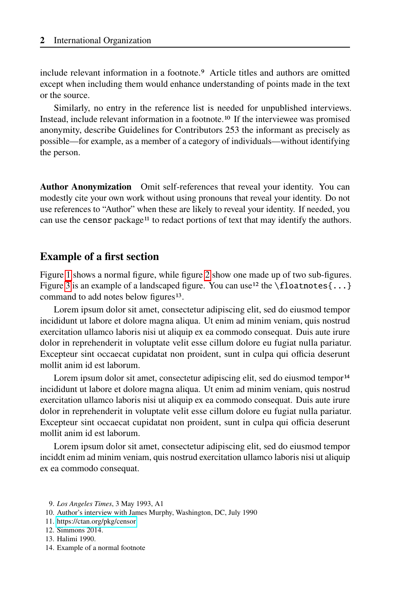include relevant information in a footnote.9 Article titles and authors are omitted except when including them would enhance understanding of points made in the text or the source.

Similarly, no entry in the reference list is needed for unpublished interviews. Instead, include relevant information in a footnote.10 If the interviewee was promised anonymity, describe Guidelines for Contributors 253 the informant as precisely as possible—for example, as a member of a category of individuals—without identifying the person.

**Author Anonymization** Omit self-references that reveal your identity. You can modestly cite your own work without using pronouns that reveal your identity. Do not use references to "Author" when these are likely to reveal your identity. If needed, you can use the censor package<sup>11</sup> to redact portions of text that may identify the authors.

#### **Example of a first section**

Figure [1](#page-2-0) shows a normal figure, while figure [2](#page-3-0) show one made up of two sub-figures. Figure [3](#page-4-0) is an example of a landscaped figure. You can use<sup>12</sup> the  $\frac{1}{\text{ol}}$  (floatnotes {...} command to add notes below figures<sup>13</sup>.

Lorem ipsum dolor sit amet, consectetur adipiscing elit, sed do eiusmod tempor incididunt ut labore et dolore magna aliqua. Ut enim ad minim veniam, quis nostrud exercitation ullamco laboris nisi ut aliquip ex ea commodo consequat. Duis aute irure dolor in reprehenderit in voluptate velit esse cillum dolore eu fugiat nulla pariatur. Excepteur sint occaecat cupidatat non proident, sunt in culpa qui officia deserunt mollit anim id est laborum.

Lorem ipsum dolor sit amet, consectetur adipiscing elit, sed do eiusmod tempor<sup>14</sup> incididunt ut labore et dolore magna aliqua. Ut enim ad minim veniam, quis nostrud exercitation ullamco laboris nisi ut aliquip ex ea commodo consequat. Duis aute irure dolor in reprehenderit in voluptate velit esse cillum dolore eu fugiat nulla pariatur. Excepteur sint occaecat cupidatat non proident, sunt in culpa qui officia deserunt mollit anim id est laborum.

Lorem ipsum dolor sit amet, consectetur adipiscing elit, sed do eiusmod tempor inciddt enim ad minim veniam, quis nostrud exercitation ullamco laboris nisi ut aliquip ex ea commodo consequat.

- 9. *Los Angeles Times*, 3 May 1993, A1
- 10. Author's interview with James Murphy, Washington, DC, July 1990
- 11.<https://ctan.org/pkg/censor>
- 12. Simmons 2014.
- 13. Halimi 1990.
- 14. Example of a normal footnote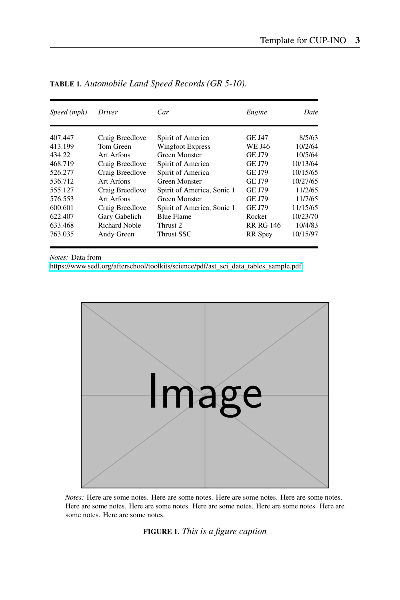| Speed (mph) | Driver               | Car                        | Engine           | Date     |
|-------------|----------------------|----------------------------|------------------|----------|
|             |                      |                            |                  |          |
| 407.447     | Craig Breedlove      | Spirit of America          | <b>GE J47</b>    | 8/5/63   |
| 413.199     | Tom Green            | <b>Wingfoot Express</b>    | WE J46           | 10/2/64  |
| 434.22      | Art Arfons           | <b>Green Monster</b>       | <b>GE J79</b>    | 10/5/64  |
| 468.719     | Craig Breedlove      | Spirit of America          | GE J79           | 10/13/64 |
| 526.277     | Craig Breedlove      | Spirit of America          | GE J79           | 10/15/65 |
| 536.712     | Art Arfons           | Green Monster              | <b>GE J79</b>    | 10/27/65 |
| 555.127     | Craig Breedlove      | Spirit of America, Sonic 1 | <b>GE J79</b>    | 11/2/65  |
| 576.553     | Art Arfons           | Green Monster              | GE J79           | 11/7/65  |
| 600.601     | Craig Breedlove      | Spirit of America, Sonic 1 | <b>GE J79</b>    | 11/15/65 |
| 622.407     | Gary Gabelich        | <b>Blue Flame</b>          | Rocket           | 10/23/70 |
| 633.468     | <b>Richard Noble</b> | Thrust 2                   | <b>RR RG 146</b> | 10/4/83  |
| 763.035     | Andy Green           | Thrust SSC                 | <b>RR</b> Spey   | 10/15/97 |

**TABLE 1.** *Automobile Land Speed Records (GR 5-10).*

*Notes:* Data from

[https://www.sedl.org/afterschool/toolkits/science/pdf/ast\\_sci\\_data\\_tables\\_sample.pdf](https://www.sedl.org/afterschool/toolkits/science/pdf/ast_sci_data_tables_sample.pdf)

<span id="page-2-0"></span>

*Notes:* Here are some notes. Here are some notes. Here are some notes. Here are some notes. Here are some notes. Here are some notes. Here are some notes. Here are some notes. Here are some notes. Here are some notes.

#### **FIGURE 1.** *This is a figure caption*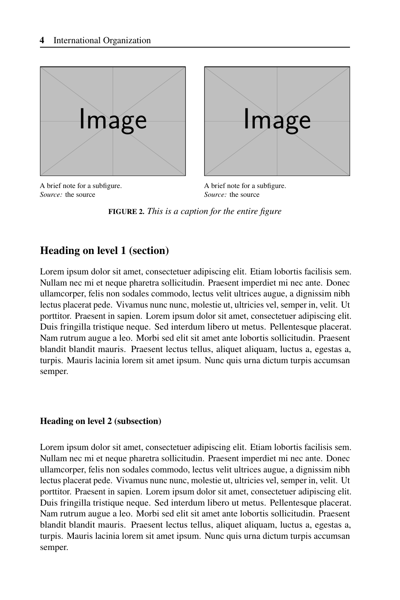<span id="page-3-0"></span>



A brief note for a subfigure. *Source:* the source

A brief note for a subfigure. *Source:* the source

**FIGURE 2.** *This is a caption for the entire figure*

# **Heading on level 1 (section)**

Lorem ipsum dolor sit amet, consectetuer adipiscing elit. Etiam lobortis facilisis sem. Nullam nec mi et neque pharetra sollicitudin. Praesent imperdiet mi nec ante. Donec ullamcorper, felis non sodales commodo, lectus velit ultrices augue, a dignissim nibh lectus placerat pede. Vivamus nunc nunc, molestie ut, ultricies vel, semper in, velit. Ut porttitor. Praesent in sapien. Lorem ipsum dolor sit amet, consectetuer adipiscing elit. Duis fringilla tristique neque. Sed interdum libero ut metus. Pellentesque placerat. Nam rutrum augue a leo. Morbi sed elit sit amet ante lobortis sollicitudin. Praesent blandit blandit mauris. Praesent lectus tellus, aliquet aliquam, luctus a, egestas a, turpis. Mauris lacinia lorem sit amet ipsum. Nunc quis urna dictum turpis accumsan semper.

#### **Heading on level 2 (subsection)**

Lorem ipsum dolor sit amet, consectetuer adipiscing elit. Etiam lobortis facilisis sem. Nullam nec mi et neque pharetra sollicitudin. Praesent imperdiet mi nec ante. Donec ullamcorper, felis non sodales commodo, lectus velit ultrices augue, a dignissim nibh lectus placerat pede. Vivamus nunc nunc, molestie ut, ultricies vel, semper in, velit. Ut porttitor. Praesent in sapien. Lorem ipsum dolor sit amet, consectetuer adipiscing elit. Duis fringilla tristique neque. Sed interdum libero ut metus. Pellentesque placerat. Nam rutrum augue a leo. Morbi sed elit sit amet ante lobortis sollicitudin. Praesent blandit blandit mauris. Praesent lectus tellus, aliquet aliquam, luctus a, egestas a, turpis. Mauris lacinia lorem sit amet ipsum. Nunc quis urna dictum turpis accumsan semper.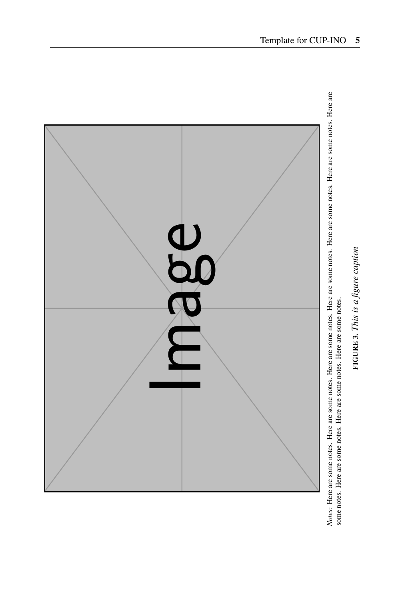<span id="page-4-0"></span>

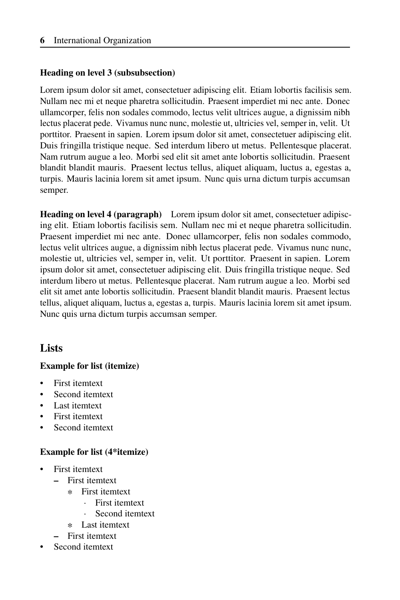#### **Heading on level 3 (subsubsection)**

Lorem ipsum dolor sit amet, consectetuer adipiscing elit. Etiam lobortis facilisis sem. Nullam nec mi et neque pharetra sollicitudin. Praesent imperdiet mi nec ante. Donec ullamcorper, felis non sodales commodo, lectus velit ultrices augue, a dignissim nibh lectus placerat pede. Vivamus nunc nunc, molestie ut, ultricies vel, semper in, velit. Ut porttitor. Praesent in sapien. Lorem ipsum dolor sit amet, consectetuer adipiscing elit. Duis fringilla tristique neque. Sed interdum libero ut metus. Pellentesque placerat. Nam rutrum augue a leo. Morbi sed elit sit amet ante lobortis sollicitudin. Praesent blandit blandit mauris. Praesent lectus tellus, aliquet aliquam, luctus a, egestas a, turpis. Mauris lacinia lorem sit amet ipsum. Nunc quis urna dictum turpis accumsan semper.

**Heading on level 4 (paragraph)** Lorem ipsum dolor sit amet, consectetuer adipiscing elit. Etiam lobortis facilisis sem. Nullam nec mi et neque pharetra sollicitudin. Praesent imperdiet mi nec ante. Donec ullamcorper, felis non sodales commodo, lectus velit ultrices augue, a dignissim nibh lectus placerat pede. Vivamus nunc nunc, molestie ut, ultricies vel, semper in, velit. Ut porttitor. Praesent in sapien. Lorem ipsum dolor sit amet, consectetuer adipiscing elit. Duis fringilla tristique neque. Sed interdum libero ut metus. Pellentesque placerat. Nam rutrum augue a leo. Morbi sed elit sit amet ante lobortis sollicitudin. Praesent blandit blandit mauris. Praesent lectus tellus, aliquet aliquam, luctus a, egestas a, turpis. Mauris lacinia lorem sit amet ipsum. Nunc quis urna dictum turpis accumsan semper.

# **Lists**

#### **Example for list (itemize)**

- First itemtext
- Second itemtext
- Last itemtext
- First itemtext
- Second itemtext

#### **Example for list (4\*itemize)**

- First itemtext
	- **–** First itemtext
		- ∗ First itemtext
			- · First itemtext
			- Second itemtext
		- ∗ Last itemtext
- **–** First itemtext
- Second itemtext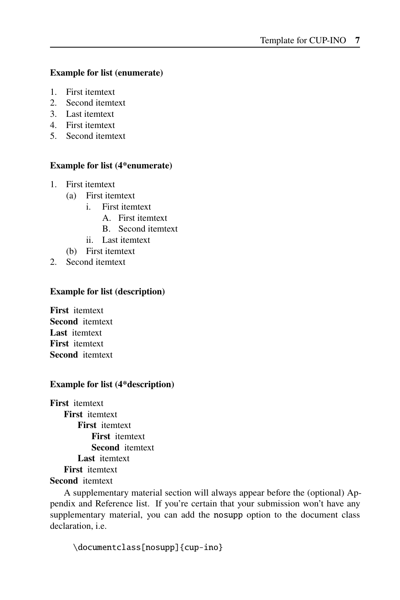#### **Example for list (enumerate)**

- 1. First itemtext
- 2. Second itemtext
- 3. Last itemtext
- 4. First itemtext
- 5. Second itemtext

#### **Example for list (4\*enumerate)**

- 1. First itemtext
	- (a) First itemtext
		- i. First itemtext
			- A. First itemtext
			- B. Second itemtext
		- ii. Last itemtext
	- (b) First itemtext
- 2. Second itemtext

#### **Example for list (description)**

**First** itemtext **Second** itemtext **Last** itemtext **First** itemtext **Second** itemtext

#### **Example for list (4\*description)**

**First** itemtext **First** itemtext **First** itemtext **First** itemtext **Second** itemtext **Last** itemtext **First** itemtext **Second** itemtext

A supplementary material section will always appear before the (optional) Appendix and Reference list. If you're certain that your submission won't have any supplementary material, you can add the nosupp option to the document class declaration, i.e.

```
\documentclass[nosupp]{cup-ino}
```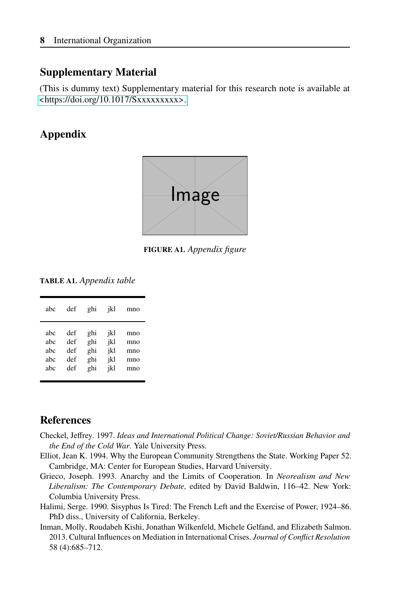### **Supplementary Material**

(This is dummy text) Supplementary material for this research note is available at <<https://doi.org/10.1017/Sxxxxxxxxx>.>

# **Appendix**



**FIGURE A1.** *Appendix figure*

**TABLE A1.** *Appendix table*

| abc | def | ghi | jkl | mno |
|-----|-----|-----|-----|-----|
| abc | def | ghi | jkl | mno |
| abc | def | ghi | jkl | mno |
| abc | def | ghi | jkl | mno |
| abc | def | ghi | jkl | mno |
| abc | def | ghi | jkl | mno |

## **References**

- Checkel, Jeffrey. 1997. *Ideas and International Political Change: Soviet/Russian Behavior and the End of the Cold War.* Yale University Press.
- Elliot, Jean K. 1994. Why the European Community Strengthens the State. Working Paper 52. Cambridge, MA: Center for European Studies, Harvard University.
- Grieco, Joseph. 1993. Anarchy and the Limits of Cooperation. In *Neorealism and New Liberalism: The Contemporary Debate,* edited by David Baldwin, 116–42. New York: Columbia University Press.
- Halimi, Serge. 1990. Sisyphus Is Tired: The French Left and the Exercise of Power, 1924–86. PhD diss., University of California, Berkeley.
- Inman, Molly, Roudabeh Kishi, Jonathan Wilkenfeld, Michele Gelfand, and Elizabeth Salmon. 2013. Cultural Influences on Mediation in International Crises. *Journal of Conflict Resolution* 58 (4):685–712.